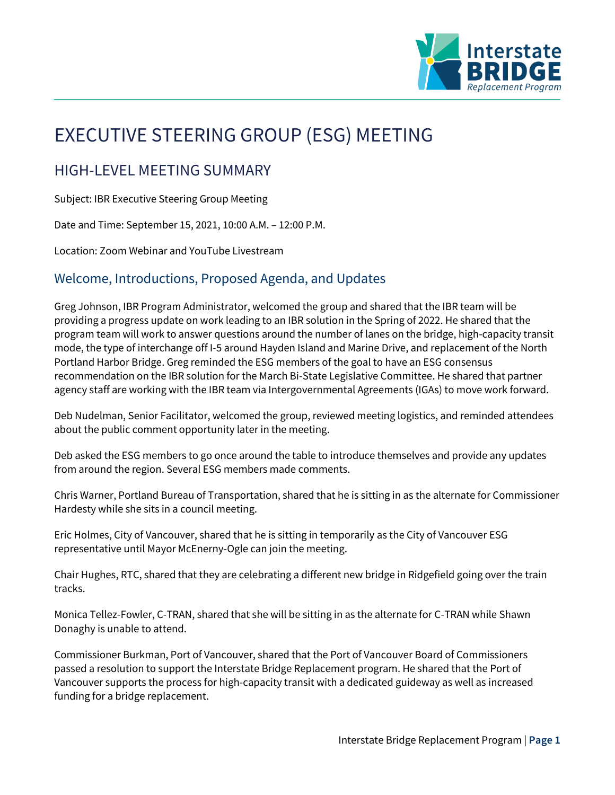

# EXECUTIVE STEERING GROUP (ESG) MEETING

## HIGH-LEVEL MEETING SUMMARY

Subject: IBR Executive Steering Group Meeting

Date and Time: September 15, 2021, 10:00 A.M. – 12:00 P.M.

Location: Zoom Webinar and YouTube Livestream

## Welcome, Introductions, Proposed Agenda, and Updates

Greg Johnson, IBR Program Administrator, welcomed the group and shared that the IBR team will be providing a progress update on work leading to an IBR solution in the Spring of 2022. He shared that the program team will work to answer questions around the number of lanes on the bridge, high-capacity transit mode, the type of interchange off I-5 around Hayden Island and Marine Drive, and replacement of the North Portland Harbor Bridge. Greg reminded the ESG members of the goal to have an ESG consensus recommendation on the IBR solution for the March Bi-State Legislative Committee. He shared that partner agency staff are working with the IBR team via Intergovernmental Agreements (IGAs) to move work forward.

Deb Nudelman, Senior Facilitator, welcomed the group, reviewed meeting logistics, and reminded attendees about the public comment opportunity later in the meeting.

Deb asked the ESG members to go once around the table to introduce themselves and provide any updates from around the region. Several ESG members made comments.

Chris Warner, Portland Bureau of Transportation, shared that he is sitting in as the alternate for Commissioner Hardesty while she sits in a council meeting.

Eric Holmes, City of Vancouver, shared that he is sitting in temporarily as the City of Vancouver ESG representative until Mayor McEnerny-Ogle can join the meeting.

Chair Hughes, RTC, shared that they are celebrating a different new bridge in Ridgefield going over the train tracks.

Monica Tellez-Fowler, C-TRAN, shared that she will be sitting in as the alternate for C-TRAN while Shawn Donaghy is unable to attend.

Commissioner Burkman, Port of Vancouver, shared that the Port of Vancouver Board of Commissioners passed a resolution to support the Interstate Bridge Replacement program. He shared that the Port of Vancouver supports the process for high-capacity transit with a dedicated guideway as well as increased funding for a bridge replacement.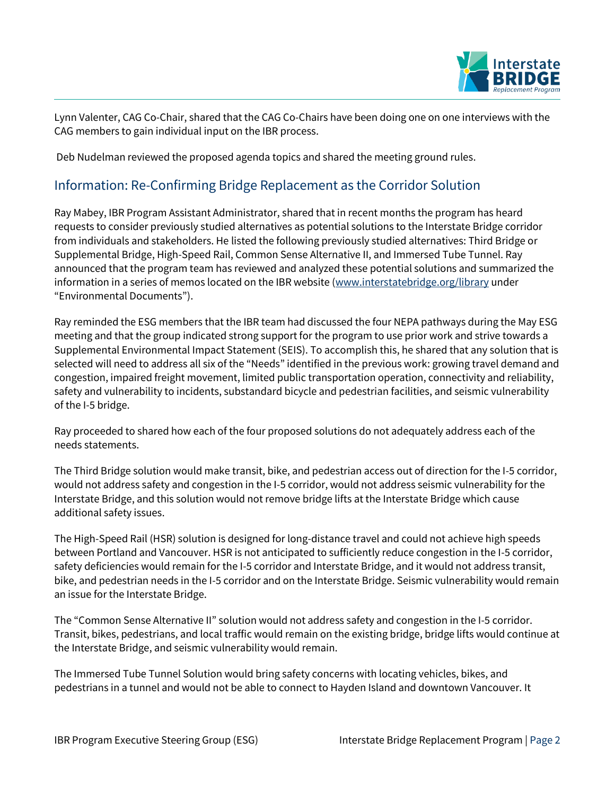

Lynn Valenter, CAG Co-Chair, shared that the CAG Co-Chairs have been doing one on one interviews with the CAG members to gain individual input on the IBR process.

Deb Nudelman reviewed the proposed agenda topics and shared the meeting ground rules.

## Information: Re-Confirming Bridge Replacement as the Corridor Solution

Ray Mabey, IBR Program Assistant Administrator, shared that in recent months the program has heard requests to consider previously studied alternatives as potential solutions to the Interstate Bridge corridor from individuals and stakeholders. He listed the following previously studied alternatives: Third Bridge or Supplemental Bridge, High-Speed Rail, Common Sense Alternative II, and Immersed Tube Tunnel. Ray announced that the program team has reviewed and analyzed these potential solutions and summarized the information in a series of memos located on the IBR website [\(www.interstatebridge.org/library](http://www.interstatebridge.org/library) under "Environmental Documents").

Ray reminded the ESG members that the IBR team had discussed the four NEPA pathways during the May ESG meeting and that the group indicated strong support for the program to use prior work and strive towards a Supplemental Environmental Impact Statement (SEIS). To accomplish this, he shared that any solution that is selected will need to address all six of the "Needs" identified in the previous work: growing travel demand and congestion, impaired freight movement, limited public transportation operation, connectivity and reliability, safety and vulnerability to incidents, substandard bicycle and pedestrian facilities, and seismic vulnerability of the I-5 bridge.

Ray proceeded to shared how each of the four proposed solutions do not adequately address each of the needs statements.

The Third Bridge solution would make transit, bike, and pedestrian access out of direction for the I-5 corridor, would not address safety and congestion in the I-5 corridor, would not address seismic vulnerability for the Interstate Bridge, and this solution would not remove bridge lifts at the Interstate Bridge which cause additional safety issues.

The High-Speed Rail (HSR) solution is designed for long-distance travel and could not achieve high speeds between Portland and Vancouver. HSR is not anticipated to sufficiently reduce congestion in the I-5 corridor, safety deficiencies would remain for the I-5 corridor and Interstate Bridge, and it would not address transit, bike, and pedestrian needs in the I-5 corridor and on the Interstate Bridge. Seismic vulnerability would remain an issue for the Interstate Bridge.

The "Common Sense Alternative II" solution would not address safety and congestion in the I-5 corridor. Transit, bikes, pedestrians, and local traffic would remain on the existing bridge, bridge lifts would continue at the Interstate Bridge, and seismic vulnerability would remain.

The Immersed Tube Tunnel Solution would bring safety concerns with locating vehicles, bikes, and pedestrians in a tunnel and would not be able to connect to Hayden Island and downtown Vancouver. It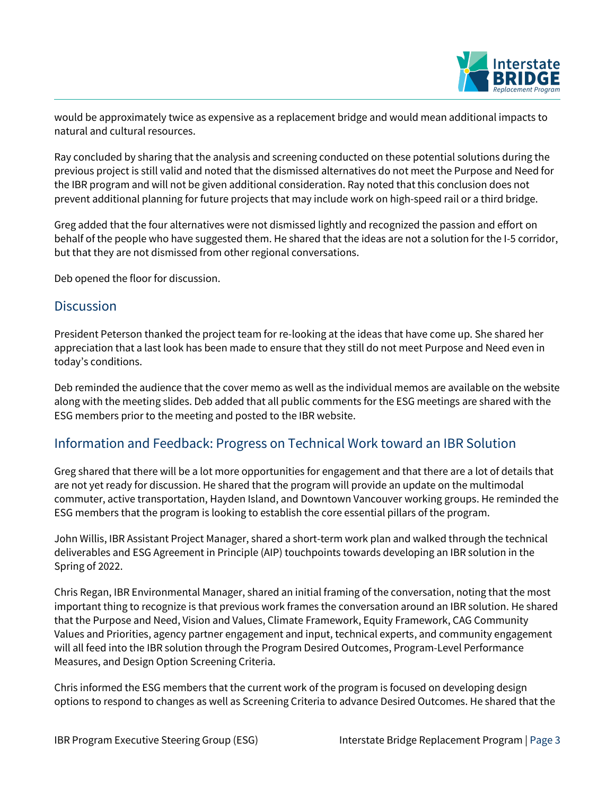

would be approximately twice as expensive as a replacement bridge and would mean additional impacts to natural and cultural resources.

Ray concluded by sharing that the analysis and screening conducted on these potential solutions during the previous project is still valid and noted that the dismissed alternatives do not meet the Purpose and Need for the IBR program and will not be given additional consideration. Ray noted that this conclusion does not prevent additional planning for future projects that may include work on high-speed rail or a third bridge.

Greg added that the four alternatives were not dismissed lightly and recognized the passion and effort on behalf of the people who have suggested them. He shared that the ideas are not a solution for the I-5 corridor, but that they are not dismissed from other regional conversations.

Deb opened the floor for discussion.

### **Discussion**

President Peterson thanked the project team for re-looking at the ideas that have come up. She shared her appreciation that a last look has been made to ensure that they still do not meet Purpose and Need even in today's conditions.

Deb reminded the audience that the cover memo as well as the individual memos are available on the website along with the meeting slides. Deb added that all public comments for the ESG meetings are shared with the ESG members prior to the meeting and posted to the IBR website.

## Information and Feedback: Progress on Technical Work toward an IBR Solution

Greg shared that there will be a lot more opportunities for engagement and that there are a lot of details that are not yet ready for discussion. He shared that the program will provide an update on the multimodal commuter, active transportation, Hayden Island, and Downtown Vancouver working groups. He reminded the ESG members that the program is looking to establish the core essential pillars of the program.

John Willis, IBR Assistant Project Manager, shared a short-term work plan and walked through the technical deliverables and ESG Agreement in Principle (AIP) touchpoints towards developing an IBR solution in the Spring of 2022.

Chris Regan, IBR Environmental Manager, shared an initial framing of the conversation, noting that the most important thing to recognize is that previous work frames the conversation around an IBR solution. He shared that the Purpose and Need, Vision and Values, Climate Framework, Equity Framework, CAG Community Values and Priorities, agency partner engagement and input, technical experts, and community engagement will all feed into the IBR solution through the Program Desired Outcomes, Program-Level Performance Measures, and Design Option Screening Criteria.

Chris informed the ESG members that the current work of the program is focused on developing design options to respond to changes as well as Screening Criteria to advance Desired Outcomes. He shared that the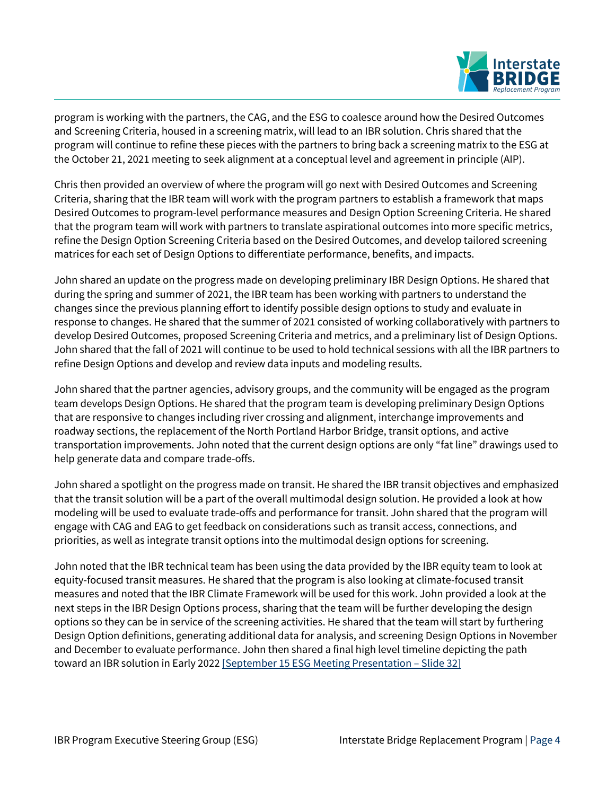

program is working with the partners, the CAG, and the ESG to coalesce around how the Desired Outcomes and Screening Criteria, housed in a screening matrix, will lead to an IBR solution. Chris shared that the program will continue to refine these pieces with the partners to bring back a screening matrix to the ESG at the October 21, 2021 meeting to seek alignment at a conceptual level and agreement in principle (AIP).

Chris then provided an overview of where the program will go next with Desired Outcomes and Screening Criteria, sharing that the IBR team will work with the program partners to establish a framework that maps Desired Outcomes to program-level performance measures and Design Option Screening Criteria. He shared that the program team will work with partners to translate aspirational outcomes into more specific metrics, refine the Design Option Screening Criteria based on the Desired Outcomes, and develop tailored screening matrices for each set of Design Options to differentiate performance, benefits, and impacts.

John shared an update on the progress made on developing preliminary IBR Design Options. He shared that during the spring and summer of 2021, the IBR team has been working with partners to understand the changes since the previous planning effort to identify possible design options to study and evaluate in response to changes. He shared that the summer of 2021 consisted of working collaboratively with partners to develop Desired Outcomes, proposed Screening Criteria and metrics, and a preliminary list of Design Options. John shared that the fall of 2021 will continue to be used to hold technical sessions with all the IBR partners to refine Design Options and develop and review data inputs and modeling results.

John shared that the partner agencies, advisory groups, and the community will be engaged as the program team develops Design Options. He shared that the program team is developing preliminary Design Options that are responsive to changes including river crossing and alignment, interchange improvements and roadway sections, the replacement of the North Portland Harbor Bridge, transit options, and active transportation improvements. John noted that the current design options are only "fat line" drawings used to help generate data and compare trade-offs.

John shared a spotlight on the progress made on transit. He shared the IBR transit objectives and emphasized that the transit solution will be a part of the overall multimodal design solution. He provided a look at how modeling will be used to evaluate trade-offs and performance for transit. John shared that the program will engage with CAG and EAG to get feedback on considerations such as transit access, connections, and priorities, as well as integrate transit options into the multimodal design options for screening.

John noted that the IBR technical team has been using the data provided by the IBR equity team to look at equity-focused transit measures. He shared that the program is also looking at climate-focused transit measures and noted that the IBR Climate Framework will be used for this work. John provided a look at the next steps in the IBR Design Options process, sharing that the team will be further developing the design options so they can be in service of the screening activities. He shared that the team will start by furthering Design Option definitions, generating additional data for analysis, and screening Design Options in November and December to evaluate performance. John then shared a final high level timeline depicting the path toward an IBR solution in Early 2022 [\[September 15 ESG Meeting Presentation](https://www.interstatebridge.org/media/5fkgfbkb/ibr-esg-presentation-9-15-21_remediated.pdf) – Slide 32]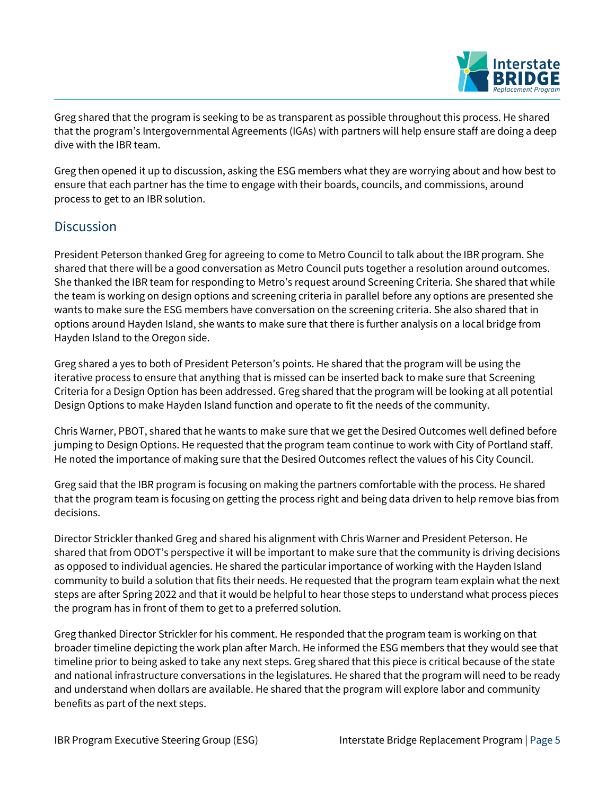

Greg shared that the program is seeking to be as transparent as possible throughout this process. He shared that the program's Intergovernmental Agreements (IGAs) with partners will help ensure staff are doing a deep dive with the IBR team.

Greg then opened it up to discussion, asking the ESG members what they are worrying about and how best to ensure that each partner has the time to engage with their boards, councils, and commissions, around process to get to an IBR solution.

## **Discussion**

President Peterson thanked Greg for agreeing to come to Metro Council to talk about the IBR program. She shared that there will be a good conversation as Metro Council puts together a resolution around outcomes. She thanked the IBR team for responding to Metro's request around Screening Criteria. She shared that while the team is working on design options and screening criteria in parallel before any options are presented she wants to make sure the ESG members have conversation on the screening criteria. She also shared that in options around Hayden Island, she wants to make sure that there is further analysis on a local bridge from Hayden Island to the Oregon side.

Greg shared a yes to both of President Peterson's points. He shared that the program will be using the iterative process to ensure that anything that is missed can be inserted back to make sure that Screening Criteria for a Design Option has been addressed. Greg shared that the program will be looking at all potential Design Options to make Hayden Island function and operate to fit the needs of the community.

Chris Warner, PBOT, shared that he wants to make sure that we get the Desired Outcomes well defined before jumping to Design Options. He requested that the program team continue to work with City of Portland staff. He noted the importance of making sure that the Desired Outcomes reflect the values of his City Council.

Greg said that the IBR program is focusing on making the partners comfortable with the process. He shared that the program team is focusing on getting the process right and being data driven to help remove bias from decisions.

Director Strickler thanked Greg and shared his alignment with Chris Warner and President Peterson. He shared that from ODOT's perspective it will be important to make sure that the community is driving decisions as opposed to individual agencies. He shared the particular importance of working with the Hayden Island community to build a solution that fits their needs. He requested that the program team explain what the next steps are after Spring 2022 and that it would be helpful to hear those steps to understand what process pieces the program has in front of them to get to a preferred solution.

Greg thanked Director Strickler for his comment. He responded that the program team is working on that broader timeline depicting the work plan after March. He informed the ESG members that they would see that timeline prior to being asked to take any next steps. Greg shared that this piece is critical because of the state and national infrastructure conversations in the legislatures. He shared that the program will need to be ready and understand when dollars are available. He shared that the program will explore labor and community benefits as part of the next steps.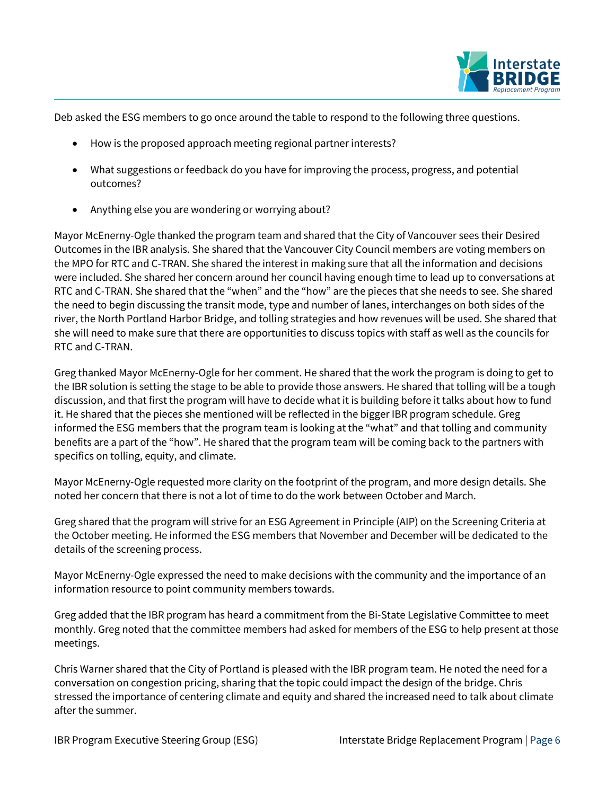

Deb asked the ESG members to go once around the table to respond to the following three questions.

- How is the proposed approach meeting regional partner interests?
- What suggestions or feedback do you have for improving the process, progress, and potential outcomes?
- Anything else you are wondering or worrying about?

Mayor McEnerny-Ogle thanked the program team and shared that the City of Vancouver sees their Desired Outcomes in the IBR analysis. She shared that the Vancouver City Council members are voting members on the MPO for RTC and C-TRAN. She shared the interest in making sure that all the information and decisions were included. She shared her concern around her council having enough time to lead up to conversations at RTC and C-TRAN. She shared that the "when" and the "how" are the pieces that she needs to see. She shared the need to begin discussing the transit mode, type and number of lanes, interchanges on both sides of the river, the North Portland Harbor Bridge, and tolling strategies and how revenues will be used. She shared that she will need to make sure that there are opportunities to discuss topics with staff as well as the councils for RTC and C-TRAN.

Greg thanked Mayor McEnerny-Ogle for her comment. He shared that the work the program is doing to get to the IBR solution is setting the stage to be able to provide those answers. He shared that tolling will be a tough discussion, and that first the program will have to decide what it is building before it talks about how to fund it. He shared that the pieces she mentioned will be reflected in the bigger IBR program schedule. Greg informed the ESG members that the program team is looking at the "what" and that tolling and community benefits are a part of the "how". He shared that the program team will be coming back to the partners with specifics on tolling, equity, and climate.

Mayor McEnerny-Ogle requested more clarity on the footprint of the program, and more design details. She noted her concern that there is not a lot of time to do the work between October and March.

Greg shared that the program will strive for an ESG Agreement in Principle (AIP) on the Screening Criteria at the October meeting. He informed the ESG members that November and December will be dedicated to the details of the screening process.

Mayor McEnerny-Ogle expressed the need to make decisions with the community and the importance of an information resource to point community members towards.

Greg added that the IBR program has heard a commitment from the Bi-State Legislative Committee to meet monthly. Greg noted that the committee members had asked for members of the ESG to help present at those meetings.

Chris Warner shared that the City of Portland is pleased with the IBR program team. He noted the need for a conversation on congestion pricing, sharing that the topic could impact the design of the bridge. Chris stressed the importance of centering climate and equity and shared the increased need to talk about climate after the summer.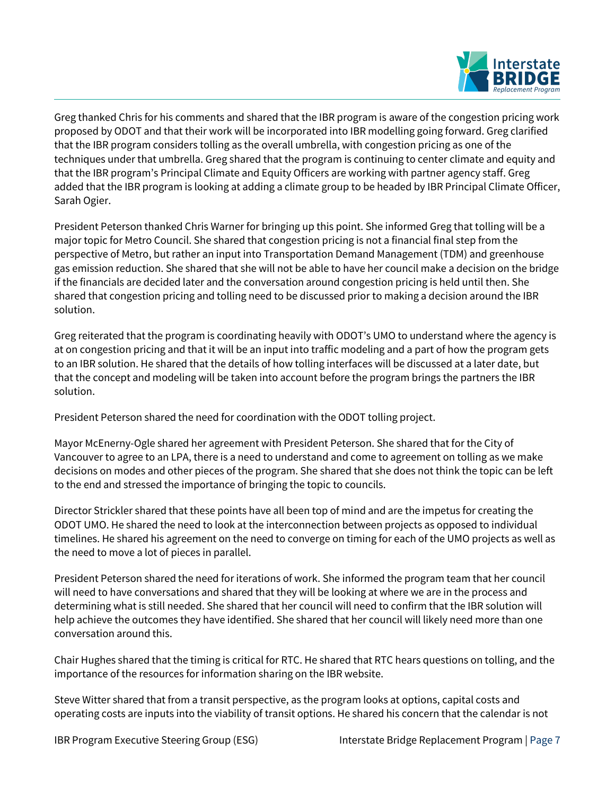

Greg thanked Chris for his comments and shared that the IBR program is aware of the congestion pricing work proposed by ODOT and that their work will be incorporated into IBR modelling going forward. Greg clarified that the IBR program considers tolling as the overall umbrella, with congestion pricing as one of the techniques under that umbrella. Greg shared that the program is continuing to center climate and equity and that the IBR program's Principal Climate and Equity Officers are working with partner agency staff. Greg added that the IBR program is looking at adding a climate group to be headed by IBR Principal Climate Officer, Sarah Ogier.

President Peterson thanked Chris Warner for bringing up this point. She informed Greg that tolling will be a major topic for Metro Council. She shared that congestion pricing is not a financial final step from the perspective of Metro, but rather an input into Transportation Demand Management (TDM) and greenhouse gas emission reduction. She shared that she will not be able to have her council make a decision on the bridge if the financials are decided later and the conversation around congestion pricing is held until then. She shared that congestion pricing and tolling need to be discussed prior to making a decision around the IBR solution.

Greg reiterated that the program is coordinating heavily with ODOT's UMO to understand where the agency is at on congestion pricing and that it will be an input into traffic modeling and a part of how the program gets to an IBR solution. He shared that the details of how tolling interfaces will be discussed at a later date, but that the concept and modeling will be taken into account before the program brings the partners the IBR solution.

President Peterson shared the need for coordination with the ODOT tolling project.

Mayor McEnerny-Ogle shared her agreement with President Peterson. She shared that for the City of Vancouver to agree to an LPA, there is a need to understand and come to agreement on tolling as we make decisions on modes and other pieces of the program. She shared that she does not think the topic can be left to the end and stressed the importance of bringing the topic to councils.

Director Strickler shared that these points have all been top of mind and are the impetus for creating the ODOT UMO. He shared the need to look at the interconnection between projects as opposed to individual timelines. He shared his agreement on the need to converge on timing for each of the UMO projects as well as the need to move a lot of pieces in parallel.

President Peterson shared the need for iterations of work. She informed the program team that her council will need to have conversations and shared that they will be looking at where we are in the process and determining what is still needed. She shared that her council will need to confirm that the IBR solution will help achieve the outcomes they have identified. She shared that her council will likely need more than one conversation around this.

Chair Hughes shared that the timing is critical for RTC. He shared that RTC hears questions on tolling, and the importance of the resources for information sharing on the IBR website.

Steve Witter shared that from a transit perspective, as the program looks at options, capital costs and operating costs are inputs into the viability of transit options. He shared his concern that the calendar is not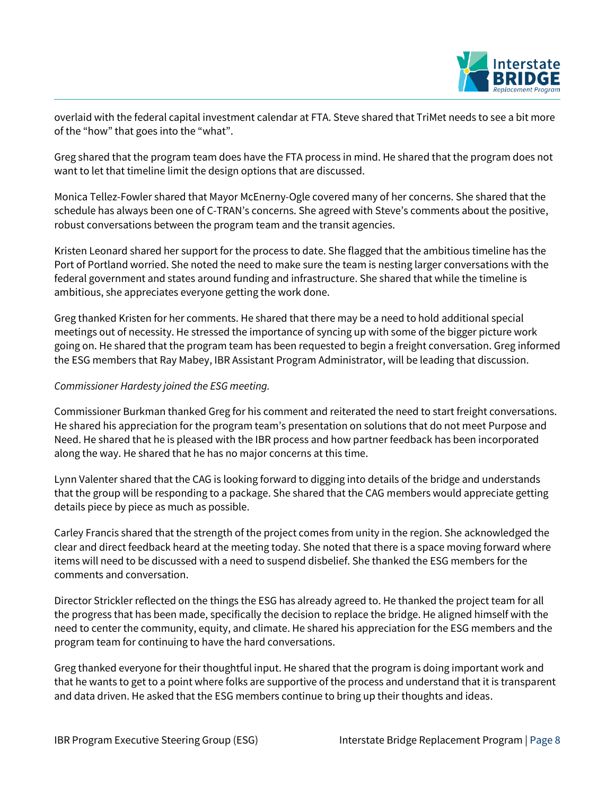

overlaid with the federal capital investment calendar at FTA. Steve shared that TriMet needs to see a bit more of the "how" that goes into the "what".

Greg shared that the program team does have the FTA process in mind. He shared that the program does not want to let that timeline limit the design options that are discussed.

Monica Tellez-Fowler shared that Mayor McEnerny-Ogle covered many of her concerns. She shared that the schedule has always been one of C-TRAN's concerns. She agreed with Steve's comments about the positive, robust conversations between the program team and the transit agencies.

Kristen Leonard shared her support for the process to date. She flagged that the ambitious timeline has the Port of Portland worried. She noted the need to make sure the team is nesting larger conversations with the federal government and states around funding and infrastructure. She shared that while the timeline is ambitious, she appreciates everyone getting the work done.

Greg thanked Kristen for her comments. He shared that there may be a need to hold additional special meetings out of necessity. He stressed the importance of syncing up with some of the bigger picture work going on. He shared that the program team has been requested to begin a freight conversation. Greg informed the ESG members that Ray Mabey, IBR Assistant Program Administrator, will be leading that discussion.

#### *Commissioner Hardesty joined the ESG meeting.*

Commissioner Burkman thanked Greg for his comment and reiterated the need to start freight conversations. He shared his appreciation for the program team's presentation on solutions that do not meet Purpose and Need. He shared that he is pleased with the IBR process and how partner feedback has been incorporated along the way. He shared that he has no major concerns at this time.

Lynn Valenter shared that the CAG is looking forward to digging into details of the bridge and understands that the group will be responding to a package. She shared that the CAG members would appreciate getting details piece by piece as much as possible.

Carley Francis shared that the strength of the project comes from unity in the region. She acknowledged the clear and direct feedback heard at the meeting today. She noted that there is a space moving forward where items will need to be discussed with a need to suspend disbelief. She thanked the ESG members for the comments and conversation.

Director Strickler reflected on the things the ESG has already agreed to. He thanked the project team for all the progress that has been made, specifically the decision to replace the bridge. He aligned himself with the need to center the community, equity, and climate. He shared his appreciation for the ESG members and the program team for continuing to have the hard conversations.

Greg thanked everyone for their thoughtful input. He shared that the program is doing important work and that he wants to get to a point where folks are supportive of the process and understand that it is transparent and data driven. He asked that the ESG members continue to bring up their thoughts and ideas.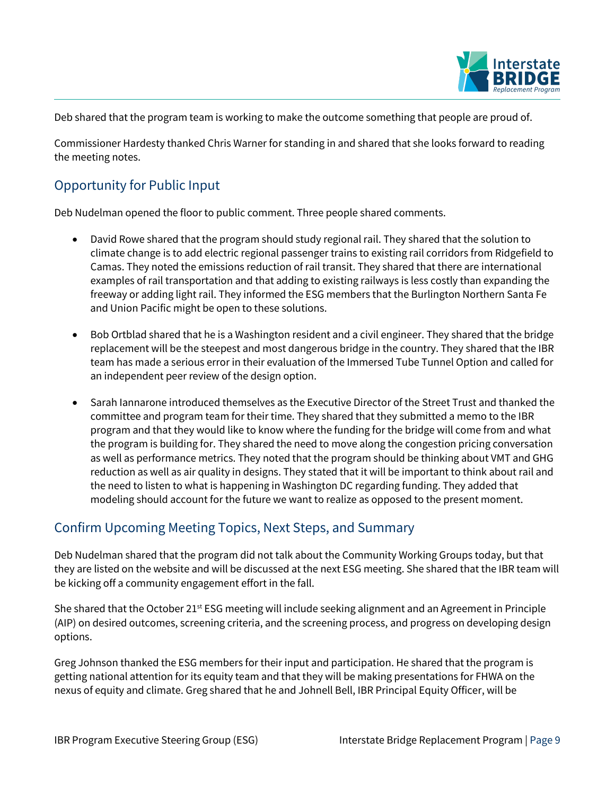

Deb shared that the program team is working to make the outcome something that people are proud of.

Commissioner Hardesty thanked Chris Warner for standing in and shared that she looks forward to reading the meeting notes.

## Opportunity for Public Input

Deb Nudelman opened the floor to public comment. Three people shared comments.

- David Rowe shared that the program should study regional rail. They shared that the solution to climate change is to add electric regional passenger trains to existing rail corridors from Ridgefield to Camas. They noted the emissions reduction of rail transit. They shared that there are international examples of rail transportation and that adding to existing railways is less costly than expanding the freeway or adding light rail. They informed the ESG members that the Burlington Northern Santa Fe and Union Pacific might be open to these solutions.
- Bob Ortblad shared that he is a Washington resident and a civil engineer. They shared that the bridge replacement will be the steepest and most dangerous bridge in the country. They shared that the IBR team has made a serious error in their evaluation of the Immersed Tube Tunnel Option and called for an independent peer review of the design option.
- Sarah Iannarone introduced themselves as the Executive Director of the Street Trust and thanked the committee and program team for their time. They shared that they submitted a memo to the IBR program and that they would like to know where the funding for the bridge will come from and what the program is building for. They shared the need to move along the congestion pricing conversation as well as performance metrics. They noted that the program should be thinking about VMT and GHG reduction as well as air quality in designs. They stated that it will be important to think about rail and the need to listen to what is happening in Washington DC regarding funding. They added that modeling should account for the future we want to realize as opposed to the present moment.

## Confirm Upcoming Meeting Topics, Next Steps, and Summary

Deb Nudelman shared that the program did not talk about the Community Working Groups today, but that they are listed on the website and will be discussed at the next ESG meeting. She shared that the IBR team will be kicking off a community engagement effort in the fall.

She shared that the October  $21^{st}$  ESG meeting will include seeking alignment and an Agreement in Principle (AIP) on desired outcomes, screening criteria, and the screening process, and progress on developing design options.

Greg Johnson thanked the ESG members for their input and participation. He shared that the program is getting national attention for its equity team and that they will be making presentations for FHWA on the nexus of equity and climate. Greg shared that he and Johnell Bell, IBR Principal Equity Officer, will be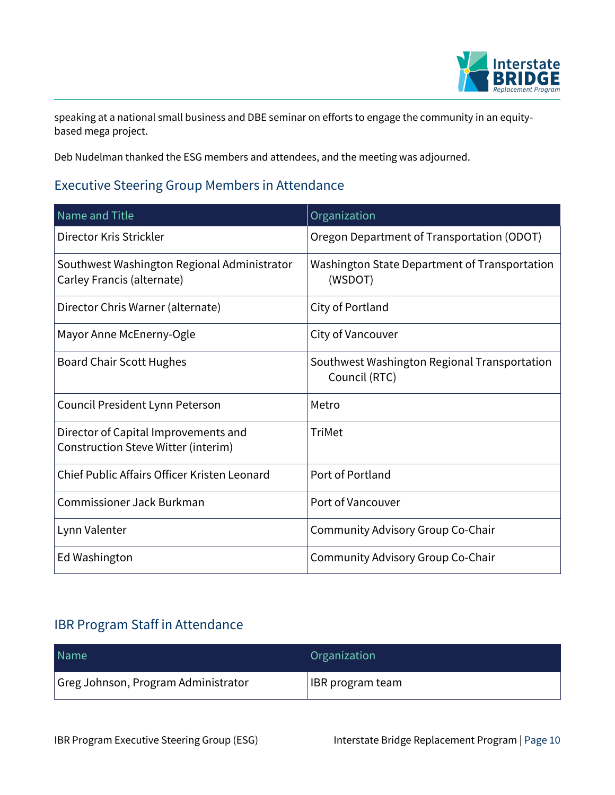

speaking at a national small business and DBE seminar on efforts to engage the community in an equitybased mega project.

Deb Nudelman thanked the ESG members and attendees, and the meeting was adjourned.

## Executive Steering Group Members in Attendance

| Name and Title                                                              | Organization                                                  |
|-----------------------------------------------------------------------------|---------------------------------------------------------------|
| Director Kris Strickler                                                     | Oregon Department of Transportation (ODOT)                    |
| Southwest Washington Regional Administrator<br>Carley Francis (alternate)   | Washington State Department of Transportation<br>(WSDOT)      |
| Director Chris Warner (alternate)                                           | City of Portland                                              |
| Mayor Anne McEnerny-Ogle                                                    | City of Vancouver                                             |
| <b>Board Chair Scott Hughes</b>                                             | Southwest Washington Regional Transportation<br>Council (RTC) |
| Council President Lynn Peterson                                             | Metro                                                         |
| Director of Capital Improvements and<br>Construction Steve Witter (interim) | <b>TriMet</b>                                                 |
| Chief Public Affairs Officer Kristen Leonard                                | Port of Portland                                              |
| Commissioner Jack Burkman                                                   | Port of Vancouver                                             |
| Lynn Valenter                                                               | Community Advisory Group Co-Chair                             |
| Ed Washington                                                               | Community Advisory Group Co-Chair                             |

## IBR Program Staff in Attendance

| Name                                | Organization            |
|-------------------------------------|-------------------------|
| Greg Johnson, Program Administrator | <b>IBR</b> program team |